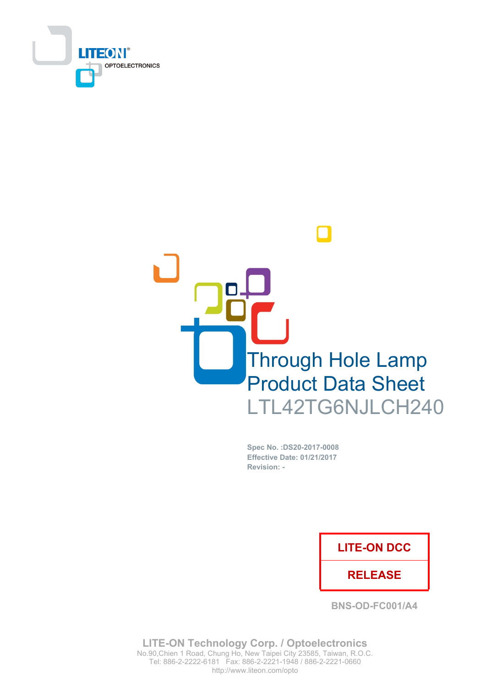



Spec No. : DS20-2017-0008 **Effective Date: 01/21/2017** Revision: -

# **LITE-ON DCC**

## **RELEASE**

**BNS-OD-FC001/A4** 

**LITE-ON Technology Corp. / Optoelectronics** No.90, Chien 1 Road, Chung Ho, New Taipei City 23585, Taiwan, R.O.C. Tel: 886-2-2222-6181 Fax: 886-2-2221-1948 / 886-2-2221-0660 http://www.liteon.com/opto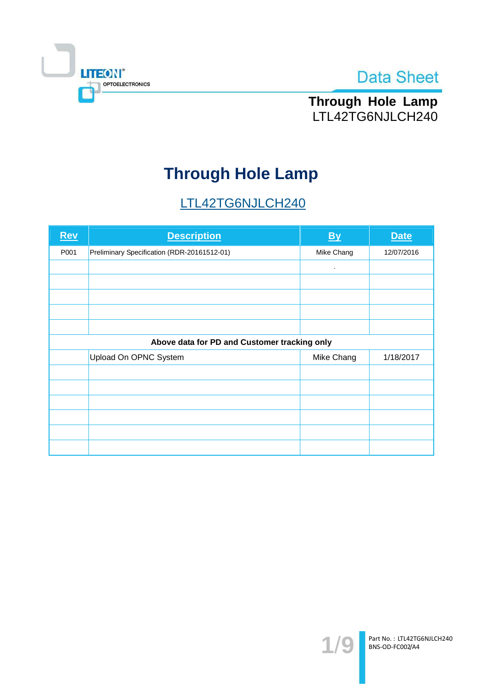



Through Hole Lamp<br>LTL42TG6NJLCH240

# **Through Hole Lamp**

# LTL42TG6NJLCH240

| <b>Rev</b>                                   | <b>Description</b>                          | <b>By</b>      | <b>Date</b> |  |  |  |
|----------------------------------------------|---------------------------------------------|----------------|-------------|--|--|--|
| P001                                         | Preliminary Specification (RDR-20161512-01) | Mike Chang     | 12/07/2016  |  |  |  |
|                                              |                                             | $\blacksquare$ |             |  |  |  |
|                                              |                                             |                |             |  |  |  |
|                                              |                                             |                |             |  |  |  |
|                                              |                                             |                |             |  |  |  |
|                                              |                                             |                |             |  |  |  |
| Above data for PD and Customer tracking only |                                             |                |             |  |  |  |
|                                              | <b>Upload On OPNC System</b>                | Mike Chang     | 1/18/2017   |  |  |  |
|                                              |                                             |                |             |  |  |  |
|                                              |                                             |                |             |  |  |  |
|                                              |                                             |                |             |  |  |  |
|                                              |                                             |                |             |  |  |  |
|                                              |                                             |                |             |  |  |  |
|                                              |                                             |                |             |  |  |  |

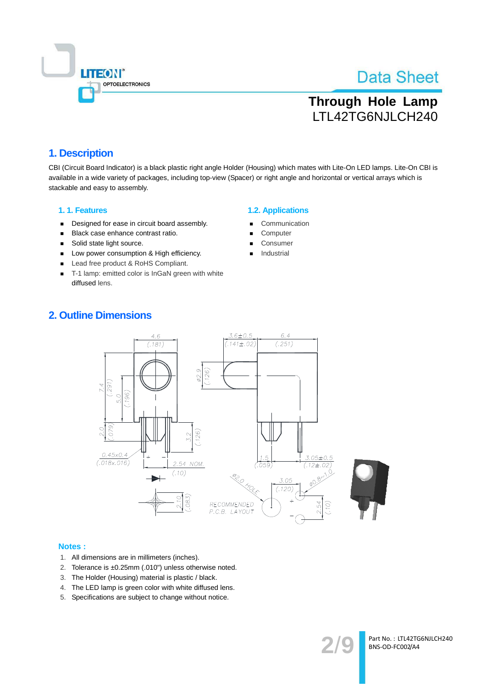

# **Through Hole Lamp** LTL42TG6NJLCH240

## 1. Description

CBI (Circuit Board Indicator) is a black plastic right angle Holder (Housing) which mates with Lite-On LED lamps, Lite-On CBI is available in a wide variety of packages, including top-view (Spacer) or right angle and horizontal or vertical arrays which is stackable and easy to assembly.

#### 1.1. Features

- Designed for ease in circuit board assembly.  $\blacksquare$
- Black case enhance contrast ratio.  $\blacksquare$
- Solid state light source.  $\blacksquare$
- $\blacksquare$ Low power consumption & High efficiency.
- Lead free product & RoHS Compliant.
- T-1 lamp: emitted color is InGaN green with white  $\blacksquare$ diffused lens.

## **1.2. Applications**

- Communication
- Computer
- Consumer
- Industrial

## **2. Outline Dimensions**





#### **Notes:**

- 1. All dimensions are in millimeters (inches).
- 2. Tolerance is ±0.25mm (.010") unless otherwise noted.
- 3. The Holder (Housing) material is plastic / black.
- 4. The LED lamp is green color with white diffused lens.
- 5. Specifications are subject to change without notice.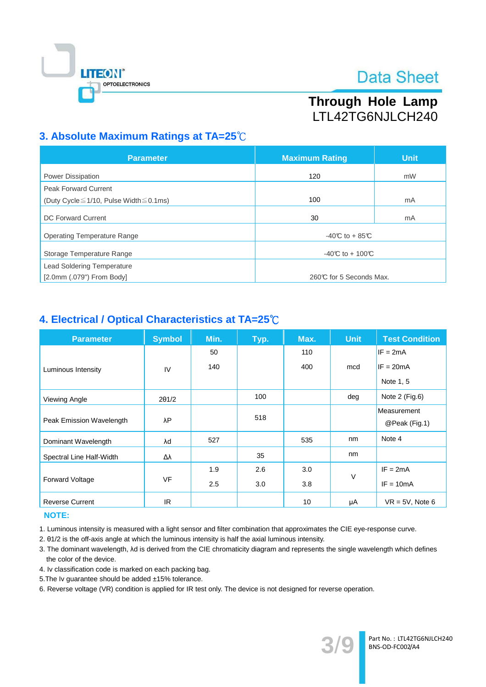

# Through Hole Lamp LTL42TG6NJLCH240

# 3. Absolute Maximum Ratings at TA=25°C

| <b>Parameter</b>                                   | <b>Maximum Rating</b>   | <b>Unit</b> |  |
|----------------------------------------------------|-------------------------|-------------|--|
| <b>Power Dissipation</b>                           | 120                     | mW          |  |
| <b>Peak Forward Current</b>                        |                         |             |  |
| (Duty Cycle $\leq$ 1/10, Pulse Width $\leq$ 0.1ms) | 100                     | mA          |  |
| <b>DC Forward Current</b>                          | 30                      | mA          |  |
| <b>Operating Temperature Range</b>                 | $-40C$ to + 85°C        |             |  |
| Storage Temperature Range                          | -40°C to + 100°C        |             |  |
| <b>Lead Soldering Temperature</b>                  |                         |             |  |
| [2.0mm (.079") From Body]                          | 260℃ for 5 Seconds Max. |             |  |

## 4. Electrical / Optical Characteristics at TA=25°C

| <b>Parameter</b>         | <b>Symbol</b> | Min. | Typ. | Max. | <b>Unit</b> | <b>Test Condition</b> |
|--------------------------|---------------|------|------|------|-------------|-----------------------|
|                          |               | 50   |      | 110  |             | $IF = 2mA$            |
| Luminous Intensity       | IV            | 140  |      | 400  | mcd         | $IF = 20mA$           |
|                          |               |      |      |      |             | Note 1, 5             |
| Viewing Angle            | $2\theta$ 1/2 |      | 100  |      | deg         | Note 2 (Fig.6)        |
|                          |               |      | 518  |      |             | Measurement           |
| Peak Emission Wavelength | λP            |      |      |      |             | @Peak (Fig.1)         |
| Dominant Wavelength      | λd            | 527  |      | 535  | nm          | Note 4                |
| Spectral Line Half-Width | Δλ            |      | 35   |      | nm          |                       |
|                          |               | 1.9  | 2.6  | 3.0  | V           | $IF = 2mA$            |
| <b>Forward Voltage</b>   | <b>VF</b>     | 2.5  | 3.0  | 3.8  |             | $IF = 10mA$           |
| <b>Reverse Current</b>   | IR.           |      |      | 10   | μA          | $VR = 5V$ , Note 6    |

#### **NOTE:**

1. Luminous intensity is measured with a light sensor and filter combination that approximates the CIE eye-response curve.

2. 01/2 is the off-axis angle at which the luminous intensity is half the axial luminous intensity.

3. The dominant wavelength, Ad is derived from the CIE chromaticity diagram and represents the single wavelength which defines the color of the device.

- 4. Iv classification code is marked on each packing bag.
- 5. The Iv guarantee should be added ±15% tolerance.

6. Reverse voltage (VR) condition is applied for IR test only. The device is not designed for reverse operation.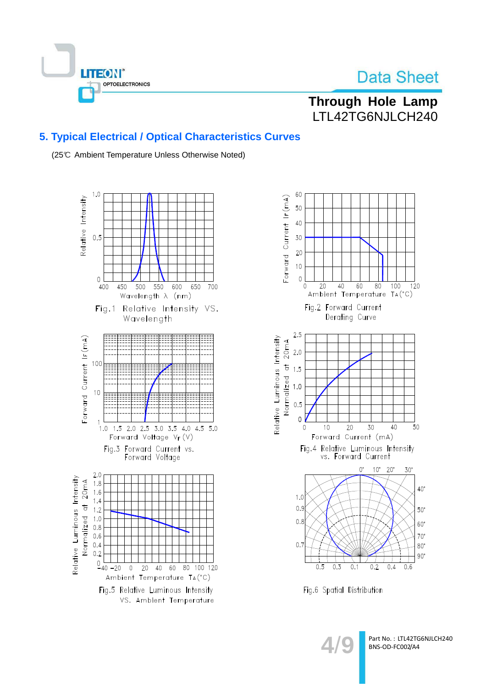

# Through Hole Lamp LTL42TG6NJLCH240

## **5. Typical Electrical / Optical Characteristics Curves**

(25℃ Ambient Temperature Unless Otherwise Noted)







Part No.: LTL42TG6NJLCH240 BNS-OD-FC002/A4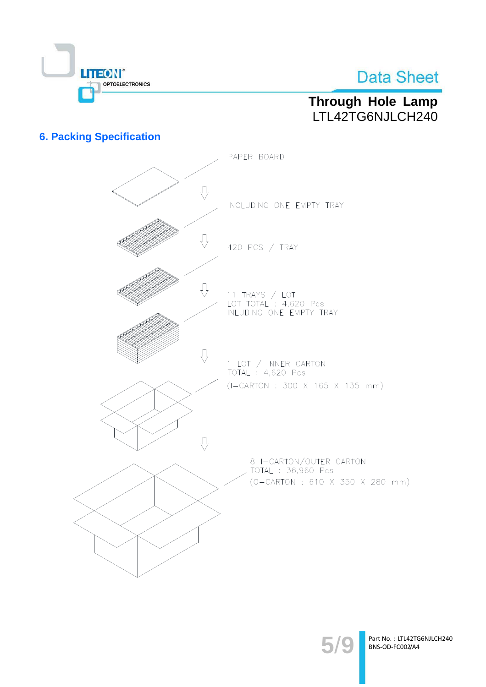

# Through Hole Lamp LTL42TG6NJLCH240

## **6. Packing Specification**



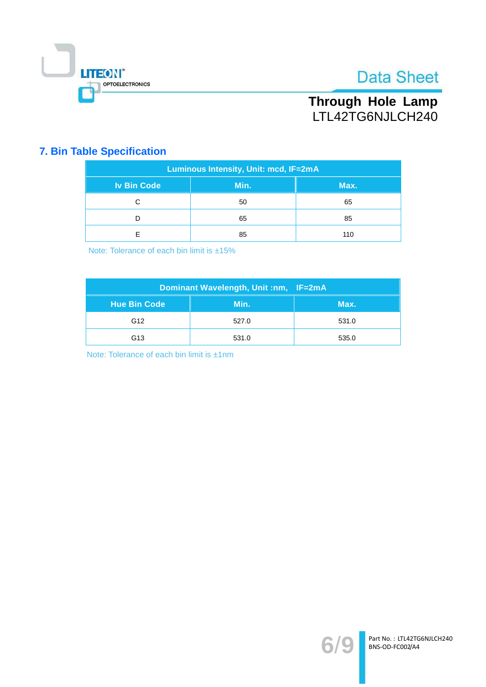

Through Hole Lamp<br>LTL42TG6NJLCH240

# **7. Bin Table Specification**

| Luminous Intensity, Unit: mcd, IF=2mA |      |      |  |  |
|---------------------------------------|------|------|--|--|
| <b>Iv Bin Code</b>                    | Min. | Max. |  |  |
| C                                     | 50   | 65   |  |  |
|                                       | 65   | 85   |  |  |
| F                                     | 85   | 110  |  |  |

Note: Tolerance of each bin limit is ±15%

| Dominant Wavelength, Unit :nm, IF=2mA |       |       |  |  |
|---------------------------------------|-------|-------|--|--|
| Hue Bin Code                          | Min.  | Max.  |  |  |
| G <sub>12</sub>                       | 527.0 | 531.0 |  |  |
| G <sub>13</sub>                       | 531.0 | 535.0 |  |  |

Note: Tolerance of each bin limit is ±1nm

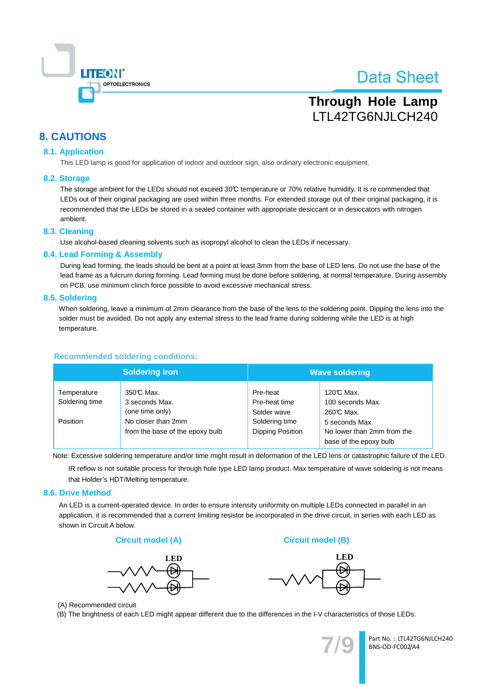

# **Through Hole Lamp** LTL42TG6NJLCH240

## **8. CAUTIONS**

### **8.1. Application**

This LED lamp is good for application of indoor and outdoor sign, also ordinary electronic equipment.

#### 8.2. Storage

The storage ambient for the LEDs should not exceed 30°C temperature or 70% relative humidity. It is recommended that LEDs out of their original packaging are used within three months. For extended storage out of their original packaging, it is recommended that the LEDs be stored in a sealed container with appropriate desiccant or in desiccators with nitrogen ambient.

### 8.3. Cleaning

Use alcohol-based cleaning solvents such as isopropyl alcohol to clean the LEDs if necessary.

#### 8.4. Lead Forming & Assembly

During lead forming, the leads should be bent at a point at least 3mm from the base of LED lens. Do not use the base of the lead frame as a fulcrum during forming. Lead forming must be done before soldering, at normal temperature. During assembly on PCB, use minimum clinch force possible to avoid excessive mechanical stress.

#### 8.5. Soldering

When soldering, leave a minimum of 2mm clearance from the base of the lens to the soldering point. Dipping the lens into the solder must be avoided. Do not apply any external stress to the lead frame during soldering while the LED is at high temperature.

## **Recommended soldering conditions:**

|                               | <b>Soldering iron</b>                                 | <b>Wave soldering</b>                    |                                                                        |  |
|-------------------------------|-------------------------------------------------------|------------------------------------------|------------------------------------------------------------------------|--|
| Temperature<br>Soldering time | 350℃ Max.<br>3 seconds Max.<br>(one time only)        | Pre-heat<br>Pre-heat time<br>Solder wave | 120℃ Max.<br>100 seconds Max.<br>260℃ Max.                             |  |
| Position                      | No closer than 2mm<br>from the base of the epoxy bulb | Soldering time<br>Dipping Position       | 5 seconds Max.<br>No lower than 2mm from the<br>base of the epoxy bulb |  |

Note: Excessive soldering temperature and/or time might result in deformation of the LED lens or catastrophic failure of the LED.

IR reflow is not suitable process for through hole type LED lamp product. Max temperature of wave soldering is not means that Holder's HDT/Melting temperature.

#### 8.6. Drive Method

An LED is a current-operated device. In order to ensure intensity uniformity on multiple LEDs connected in parallel in an application, it is recommended that a current limiting resistor be incorporated in the drive circuit, in series with each LED as shown in Circuit A below.

#### **Circuit model (A)**





**Circuit model (B)** 

(A) Recommended circuit

(B) The brightness of each LED might appear different due to the differences in the I-V characteristics of those LEDs.



Part No.: LTL42TG6NJLCH240 BNS-OD-FC002/A4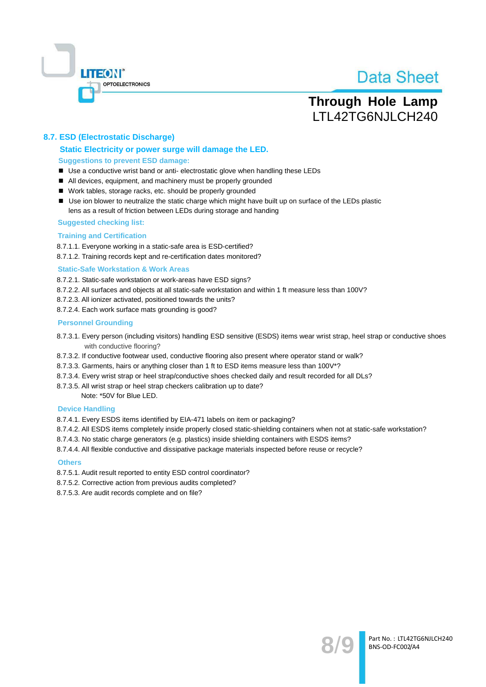

# **Through Hole Lamp** LTL42TG6NJLCH240

## 8.7. ESD (Electrostatic Discharge)

## Static Electricity or power surge will damage the LED. **Suggestions to prevent ESD damage:**

- Use a conductive wrist band or anti- electrostatic glove when handling these LEDs
- All devices, equipment, and machinery must be properly grounded
- Work tables, storage racks, etc. should be properly grounded
- Use ion blower to neutralize the static charge which might have built up on surface of the LEDs plastic lens as a result of friction between LEDs during storage and handing

#### **Suggested checking list:**

#### **Training and Certification**

8.7.1.1. Everyone working in a static-safe area is ESD-certified?

8.7.1.2. Training records kept and re-certification dates monitored?

#### **Static-Safe Workstation & Work Areas**

8.7.2.1. Static-safe workstation or work-areas have ESD signs?

- 8.7.2.2. All surfaces and objects at all static-safe workstation and within 1 ft measure less than 100V?
- 8.7.2.3. All ionizer activated, positioned towards the units?
- 8.7.2.4. Each work surface mats grounding is good?

#### **Personnel Grounding**

- 8.7.3.1. Every person (including visitors) handling ESD sensitive (ESDS) items wear wrist strap, heel strap or conductive shoes with conductive flooring?
- 8.7.3.2. If conductive footwear used, conductive flooring also present where operator stand or walk?
- 8.7.3.3. Garments, hairs or anything closer than 1 ft to ESD items measure less than 100V\*?
- 8.7.3.4. Every wrist strap or heel strap/conductive shoes checked daily and result recorded for all DLs?
- 8.7.3.5. All wrist strap or heel strap checkers calibration up to date?

Note: \*50V for Blue LED.

#### **Device Handling**

8.7.4.1. Every ESDS items identified by EIA-471 labels on item or packaging?

- 8.7.4.2. All ESDS items completely inside properly closed static-shielding containers when not at static-safe workstation?
- 8.7.4.3. No static charge generators (e.g. plastics) inside shielding containers with ESDS items?
- 8.7.4.4. All flexible conductive and dissipative package materials inspected before reuse or recycle?

#### **Others**

- 8.7.5.1. Audit result reported to entity ESD control coordinator?
- 8.7.5.2. Corrective action from previous audits completed?
- 8.7.5.3. Are audit records complete and on file?